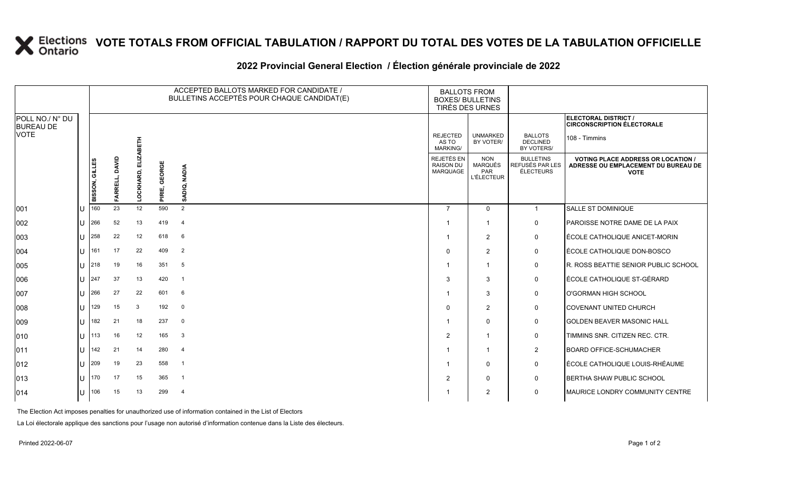## **X** Elections VOTE TOTALS FROM OFFICIAL TABULATION / RAPPORT DU TOTAL DES VOTES DE LA TABULATION OFFICIELLE

## **2022 Provincial General Election / Élection générale provinciale de 2022**

|                                     |  |                |                   |                |                  | ACCEPTED BALLOTS MARKED FOR CANDIDATE /<br>BULLETINS ACCEPTÉS POUR CHAQUE CANDIDAT(E) | <b>BALLOTS FROM</b><br><b>BOXES/ BULLETINS</b><br>TIRÉS DES URNES |                                                          |                                                  |                                                                                                 |
|-------------------------------------|--|----------------|-------------------|----------------|------------------|---------------------------------------------------------------------------------------|-------------------------------------------------------------------|----------------------------------------------------------|--------------------------------------------------|-------------------------------------------------------------------------------------------------|
| POLL NO./ N° DU<br><b>BUREAU DE</b> |  |                |                   |                |                  |                                                                                       |                                                                   |                                                          |                                                  | ELECTORAL DISTRICT /<br><b>CIRCONSCRIPTION ÉLECTORALE</b>                                       |
| <b>VOTE</b>                         |  |                |                   | 舌              |                  |                                                                                       | <b>REJECTED</b><br>AS TO<br><b>MARKING/</b>                       | <b>UNMARKED</b><br>BY VOTER/                             | <b>BALLOTS</b><br><b>DECLINED</b><br>BY VOTERS/  | 108 - Timmins                                                                                   |
|                                     |  | BISSON, GILLES | DAVID<br>FARRELL, | 긆<br>LOCKHARD, | GEORGE<br>PIRIE, | <b>NADIA</b><br>SADIQ,                                                                | REJETÉS EN<br><b>RAISON DU</b><br><b>MARQUAGE</b>                 | <b>NON</b><br><b>MARQUÉS</b><br>PAR<br><b>L'ÉLECTEUR</b> | <b>BULLETINS</b><br>REFUSÉS PAR LES<br>ÉLECTEURS | <b>VOTING PLACE ADDRESS OR LOCATION /</b><br>ADRESSE OU EMPLACEMENT DU BUREAU DE<br><b>VOTE</b> |
| 001                                 |  | 160            | 23                | 12             | 590              | 2                                                                                     | $\overline{7}$                                                    | $\Omega$                                                 | $\mathbf{1}$                                     | <b>SALLE ST DOMINIQUE</b>                                                                       |
| 002                                 |  | 266            | 52                | 13             | 419              | $\overline{4}$                                                                        | -1                                                                | $\mathbf{1}$                                             | $\mathsf{O}$                                     | <b>PAROISSE NOTRE DAME DE LA PAIX</b>                                                           |
| 003                                 |  | 258            | 22                | 12             | 618              | 6                                                                                     | -1                                                                | $\overline{2}$                                           | $\mathsf{O}$                                     | ÉCOLE CATHOLIQUE ANICET-MORIN                                                                   |
| 004                                 |  | 161            | 17                | 22             | 409              | $\overline{2}$                                                                        | $\Omega$                                                          | 2                                                        | $\mathsf{O}$                                     | LÉCOLE CATHOLIQUE DON-BOSCO                                                                     |
| 005                                 |  | 218            | 19                | 16             | 351              | 5                                                                                     | -1                                                                | $\mathbf{1}$                                             | 0                                                | R. ROSS BEATTIE SENIOR PUBLIC SCHOOL                                                            |
| 006                                 |  | 247            | 37                | 13             | 420              | $\mathbf{1}$                                                                          | 3                                                                 | 3                                                        | $\mathsf{O}$                                     | ÉCOLE CATHOLIQUE ST-GÉRARD                                                                      |
| 007                                 |  | 266            | 27                | 22             | 601              | 6                                                                                     |                                                                   | 3                                                        | $\mathsf{O}$                                     | O'GORMAN HIGH SCHOOL                                                                            |
| 008                                 |  | 129            | 15                | 3              | 192              | $\mathbf 0$                                                                           | $\Omega$                                                          | 2                                                        | $\mathsf{O}$                                     | <b>COVENANT UNITED CHURCH</b>                                                                   |
| 009                                 |  | 182            | 21                | 18             | 237              | $\overline{0}$                                                                        | -1                                                                | $\Omega$                                                 | $\mathsf{O}$                                     | <b>GOLDEN BEAVER MASONIC HALL</b>                                                               |
| 010                                 |  | 113            | 16                | 12             | 165              | $\mathbf{3}$                                                                          | 2                                                                 | $\overline{1}$                                           | 0                                                | TIMMINS SNR. CITIZEN REC. CTR.                                                                  |
| 011                                 |  | 142            | 21                | 14             | 280              | $\overline{4}$                                                                        | 1                                                                 | $\mathbf 1$                                              | $\overline{2}$                                   | <b>BOARD OFFICE-SCHUMACHER</b>                                                                  |
| 012                                 |  | 209            | 19                | 23             | 558              | $\mathbf{1}$                                                                          | -1                                                                | $\Omega$                                                 | $\mathsf{O}$                                     | ÉCOLE CATHOLIQUE LOUIS-RHÉAUME                                                                  |
| 013                                 |  | 170            | 17                | 15             | 365              | $\mathbf{1}$                                                                          | $\overline{2}$                                                    | $\mathbf{0}$                                             | $\mathsf{O}$                                     | BERTHA SHAW PUBLIC SCHOOL                                                                       |
| 014                                 |  | 106            | 15                | 13             | 299              | -4                                                                                    |                                                                   | 2                                                        | $\mathbf 0$                                      | MAURICE LONDRY COMMUNITY CENTRE                                                                 |

The Election Act imposes penalties for unauthorized use of information contained in the List of Electors

La Loi électorale applique des sanctions pour l'usage non autorisé d'information contenue dans la Liste des électeurs.